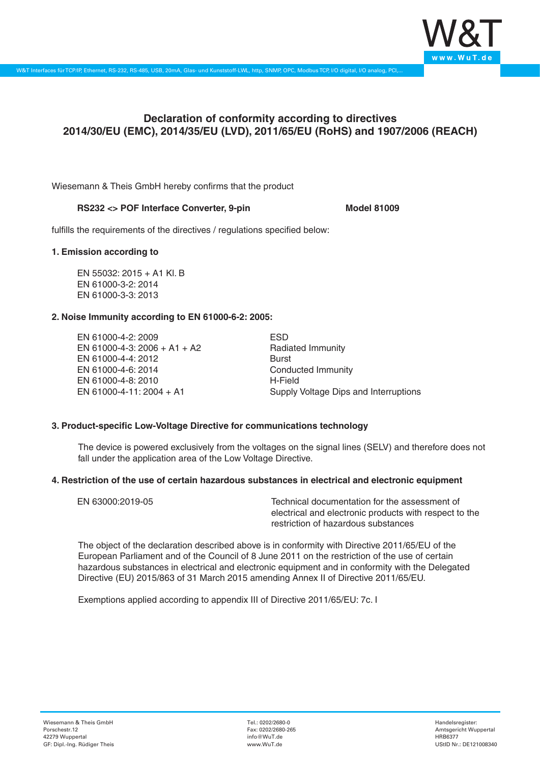

# **Declaration of conformity according to directives 2014/30/EU (EMC), 2014/35/EU (LVD), 2011/65/EU (RoHS) and 1907/2006 (REACH)**

Wiesemann & Theis GmbH hereby confirms that the product

### RS232 <> POF Interface Converter, 9-pin

fulfills the requirements of the directives / regulations specified below:

#### **1. Emission according to**

EN 55032: 2015 + A1 Kl. B EN 61000-3-2: 2014 EN 61000-3-3: 2013

### **2. Noise Immunity according to EN 61000-6-2: 2005:**

EN 61000-4-2: 2009 EN 61000-4-3: 2006 + A1 + A2 EN 61000-4-4: 2012 EN 61000-4-6: 2014 EN 61000-4-8: 2010 EN 61000-4-11: 2004 + A1

ESD Radiated Immunity Burst Conducted Immunity H-Field Supply Voltage Dips and Interruptions

## **3. Product-specific Low-Voltage Directive for communications technology**

The device is powered exclusively from the voltages on the signal lines (SELV) and therefore does not fall under the application area of the Low Voltage Directive.

### **4. Restriction of the use of certain hazardous substances in electrical and electronic equipment**

| EN 63000:2019-05 | Technical documentation for the assessment of          |
|------------------|--------------------------------------------------------|
|                  | electrical and electronic products with respect to the |
|                  | restriction of hazardous substances                    |

The object of the declaration described above is in conformity with Directive 2011/65/EU of the European Parliament and of the Council of 8 June 2011 on the restriction of the use of certain hazardous substances in electrical and electronic equipment and in conformity with the Delegated Directive (EU) 2015/863 of 31 March 2015 amending Annex II of Directive 2011/65/EU.

Exemptions applied according to appendix III of Directive 2011/65/EU: 7c. I